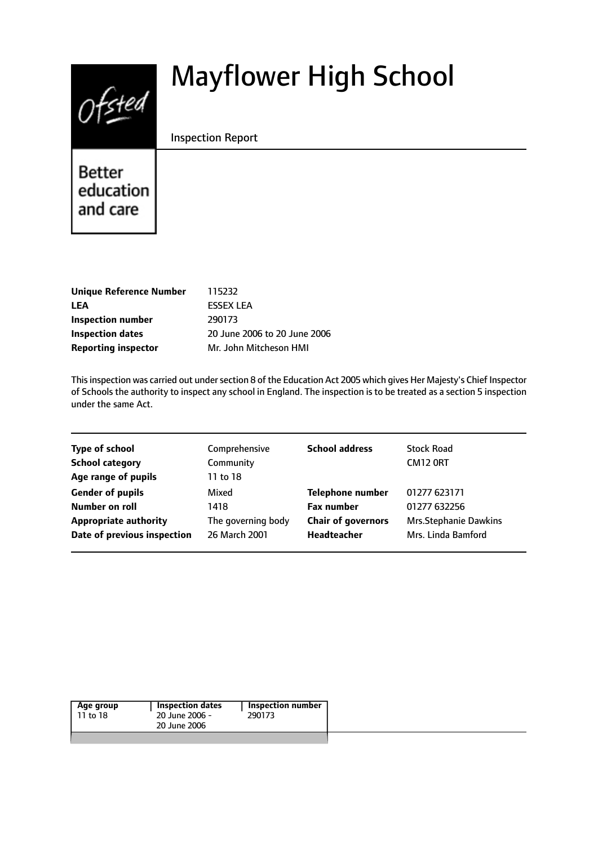# $Of$ sted

# Mayflower High School

#### Inspection Report

Better education and care

| <b>Unique Reference Number</b> | 115232                       |
|--------------------------------|------------------------------|
| <b>LEA</b>                     | <b>FSSEX LEA</b>             |
| Inspection number              | 290173                       |
| Inspection dates               | 20 June 2006 to 20 June 2006 |
| <b>Reporting inspector</b>     | Mr. John Mitcheson HMI       |

This inspection was carried out under section 8 of the Education Act 2005 which gives Her Majesty's Chief Inspector of Schools the authority to inspect any school in England. The inspection is to be treated as a section 5 inspection under the same Act.

| <b>Type of school</b>        | Comprehensive      | <b>School address</b>     | <b>Stock Road</b>            |
|------------------------------|--------------------|---------------------------|------------------------------|
| <b>School category</b>       | Community          |                           | CM12 ORT                     |
| Age range of pupils          | 11 to 18           |                           |                              |
| <b>Gender of pupils</b>      | Mixed              | <b>Telephone number</b>   | 01277 623171                 |
| Number on roll               | 1418               | <b>Fax number</b>         | 01277 632256                 |
| <b>Appropriate authority</b> | The governing body | <b>Chair of governors</b> | <b>Mrs.Stephanie Dawkins</b> |
| Date of previous inspection  | 26 March 2001      | Headteacher               | Mrs. Linda Bamford           |

| Age group | <b>Inspection dates</b> | Inspection number |
|-----------|-------------------------|-------------------|
| 11 to 18  | 20 June 2006 -          | 290173            |
|           | 20 June 2006            |                   |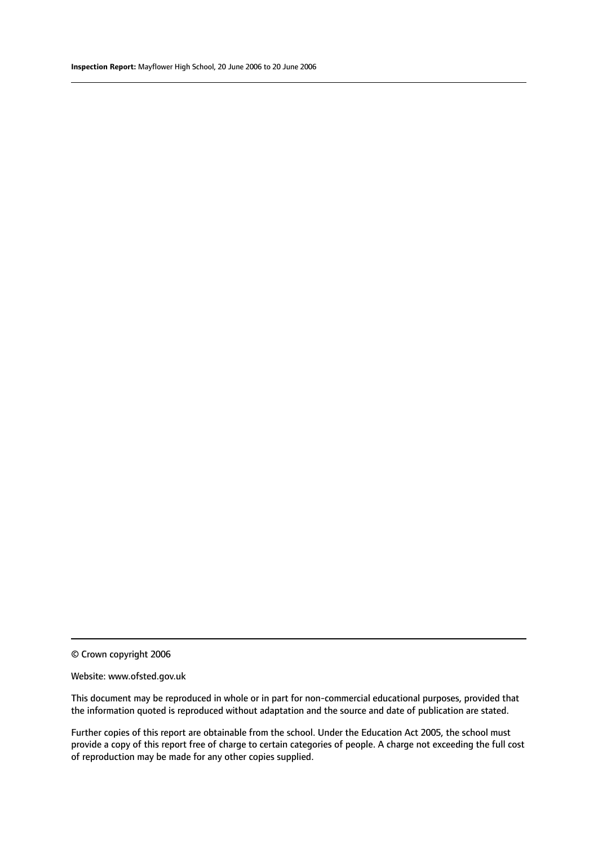© Crown copyright 2006

#### Website: www.ofsted.gov.uk

This document may be reproduced in whole or in part for non-commercial educational purposes, provided that the information quoted is reproduced without adaptation and the source and date of publication are stated.

Further copies of this report are obtainable from the school. Under the Education Act 2005, the school must provide a copy of this report free of charge to certain categories of people. A charge not exceeding the full cost of reproduction may be made for any other copies supplied.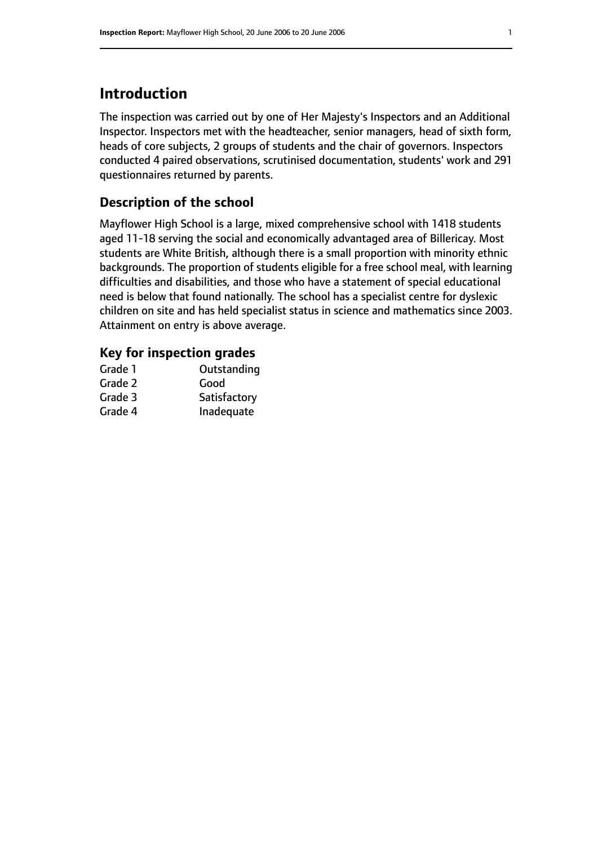# **Introduction**

The inspection was carried out by one of Her Majesty's Inspectors and an Additional Inspector. Inspectors met with the headteacher, senior managers, head of sixth form, heads of core subjects, 2 groups of students and the chair of governors. Inspectors conducted 4 paired observations, scrutinised documentation, students' work and 291 questionnaires returned by parents.

#### **Description of the school**

Mayflower High School is a large, mixed comprehensive school with 1418 students aged 11-18 serving the social and economically advantaged area of Billericay. Most students are White British, although there is a small proportion with minority ethnic backgrounds. The proportion of students eligible for a free school meal, with learning difficulties and disabilities, and those who have a statement of special educational need is below that found nationally. The school has a specialist centre for dyslexic children on site and has held specialist status in science and mathematics since 2003. Attainment on entry is above average.

# **Key for inspection grades**

| Grade 1 | Outstanding  |
|---------|--------------|
| Grade 2 | Good         |
| Grade 3 | Satisfactory |
| Grade 4 | Inadequate   |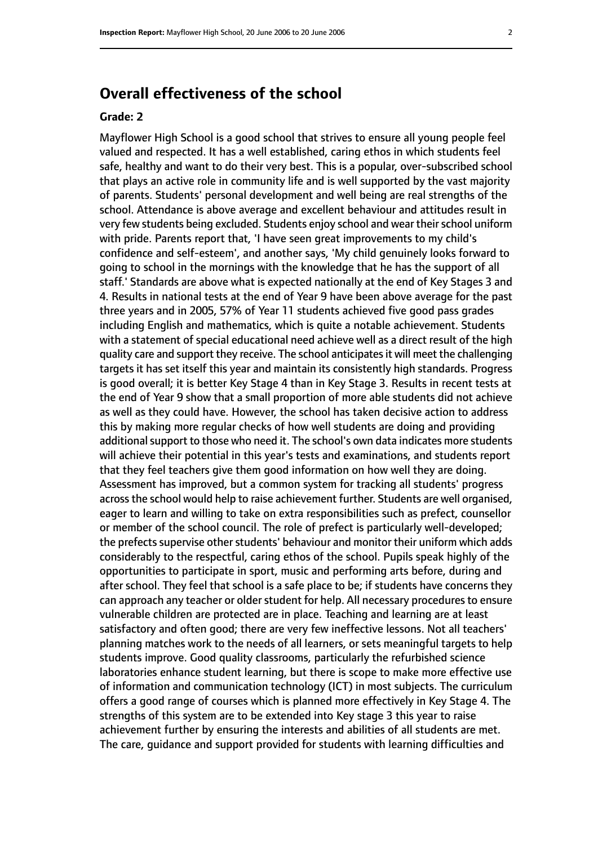# **Overall effectiveness of the school**

#### **Grade: 2**

Mayflower High School is a good school that strives to ensure all young people feel valued and respected. It has a well established, caring ethos in which students feel safe, healthy and want to do their very best. This is a popular, over-subscribed school that plays an active role in community life and is well supported by the vast majority of parents. Students' personal development and well being are real strengths of the school. Attendance is above average and excellent behaviour and attitudes result in very few students being excluded. Students enjoy school and wear their school uniform with pride. Parents report that, 'I have seen great improvements to my child's confidence and self-esteem', and another says, 'My child genuinely looks forward to going to school in the mornings with the knowledge that he has the support of all staff.' Standards are above what is expected nationally at the end of Key Stages 3 and 4. Results in national tests at the end of Year 9 have been above average for the past three years and in 2005, 57% of Year 11 students achieved five good pass grades including English and mathematics, which is quite a notable achievement. Students with a statement of special educational need achieve well as a direct result of the high quality care and support they receive. The school anticipatesit will meet the challenging targets it has set itself this year and maintain its consistently high standards. Progress is good overall; it is better Key Stage 4 than in Key Stage 3. Results in recent tests at the end of Year 9 show that a small proportion of more able students did not achieve as well as they could have. However, the school has taken decisive action to address this by making more regular checks of how well students are doing and providing additional support to those who need it. The school's own data indicates more students will achieve their potential in this year's tests and examinations, and students report that they feel teachers give them good information on how well they are doing. Assessment has improved, but a common system for tracking all students' progress acrossthe school would help to raise achievement further. Students are well organised, eager to learn and willing to take on extra responsibilities such as prefect, counsellor or member of the school council. The role of prefect is particularly well-developed; the prefects supervise other students' behaviour and monitor their uniform which adds considerably to the respectful, caring ethos of the school. Pupils speak highly of the opportunities to participate in sport, music and performing arts before, during and after school. They feel that school is a safe place to be; if students have concerns they can approach any teacher or older student for help. All necessary procedures to ensure vulnerable children are protected are in place. Teaching and learning are at least satisfactory and often good; there are very few ineffective lessons. Not all teachers' planning matches work to the needs of all learners, or sets meaningful targets to help students improve. Good quality classrooms, particularly the refurbished science laboratories enhance student learning, but there is scope to make more effective use of information and communication technology (ICT) in most subjects. The curriculum offers a good range of courses which is planned more effectively in Key Stage 4. The strengths of this system are to be extended into Key stage 3 this year to raise achievement further by ensuring the interests and abilities of all students are met. The care, guidance and support provided for students with learning difficulties and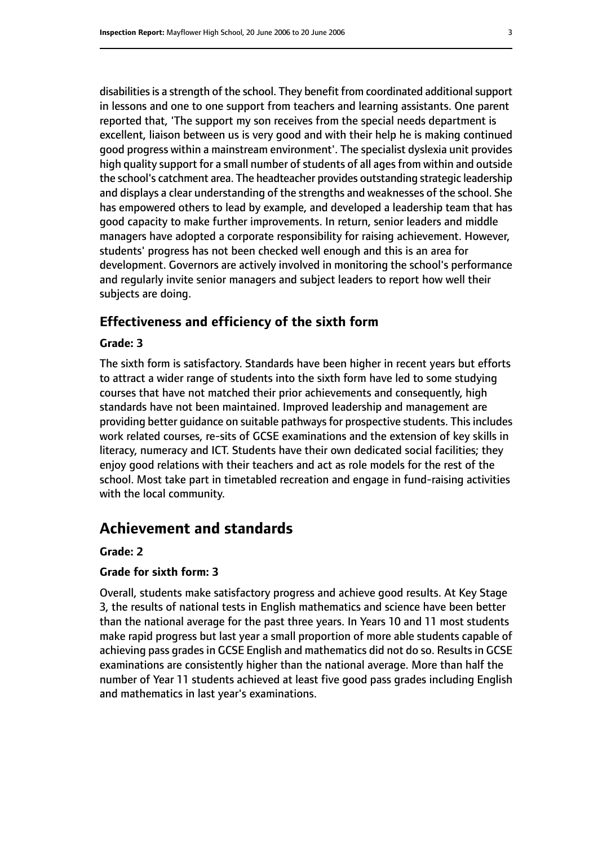disabilities is a strength of the school. They benefit from coordinated additional support in lessons and one to one support from teachers and learning assistants. One parent reported that, 'The support my son receives from the special needs department is excellent, liaison between us is very good and with their help he is making continued good progress within a mainstream environment'. The specialist dyslexia unit provides high quality support for a small number of students of all ages from within and outside the school's catchment area. The headteacher provides outstanding strategic leadership and displays a clear understanding of the strengths and weaknesses of the school. She has empowered others to lead by example, and developed a leadership team that has good capacity to make further improvements. In return, senior leaders and middle managers have adopted a corporate responsibility for raising achievement. However, students' progress has not been checked well enough and this is an area for development. Governors are actively involved in monitoring the school's performance and regularly invite senior managers and subject leaders to report how well their subjects are doing.

#### **Effectiveness and efficiency of the sixth form**

#### **Grade: 3**

The sixth form is satisfactory. Standards have been higher in recent years but efforts to attract a wider range of students into the sixth form have led to some studying courses that have not matched their prior achievements and consequently, high standards have not been maintained. Improved leadership and management are providing better guidance on suitable pathways for prospective students. This includes work related courses, re-sits of GCSE examinations and the extension of key skills in literacy, numeracy and ICT. Students have their own dedicated social facilities; they enjoy good relations with their teachers and act as role models for the rest of the school. Most take part in timetabled recreation and engage in fund-raising activities with the local community.

# **Achievement and standards**

#### **Grade: 2**

#### **Grade for sixth form: 3**

Overall, students make satisfactory progress and achieve good results. At Key Stage 3, the results of national tests in English mathematics and science have been better than the national average for the past three years. In Years 10 and 11 most students make rapid progress but last year a small proportion of more able students capable of achieving pass grades in GCSE English and mathematics did not do so. Results in GCSE examinations are consistently higher than the national average. More than half the number of Year 11 students achieved at least five good pass grades including English and mathematics in last year's examinations.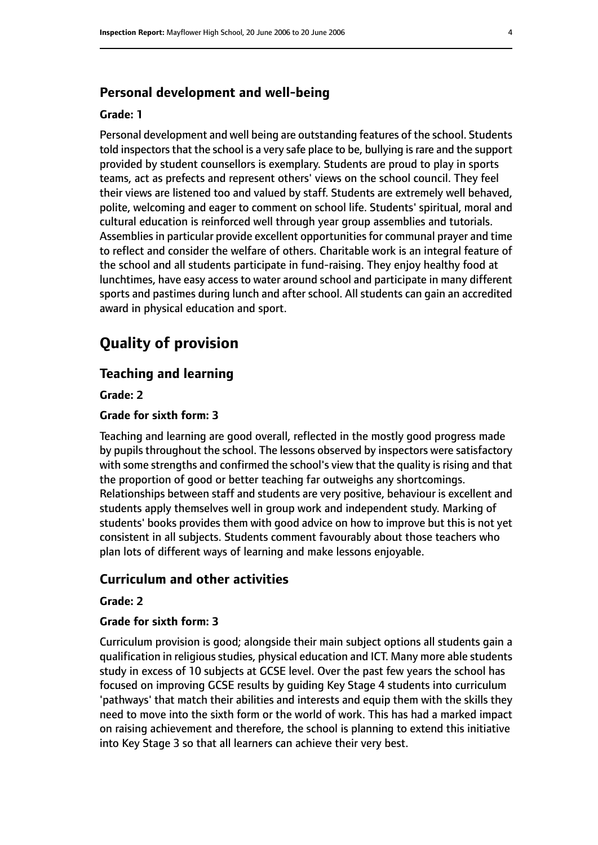#### **Personal development and well-being**

#### **Grade: 1**

Personal development and well being are outstanding features of the school. Students told inspectors that the school is a very safe place to be, bullying is rare and the support provided by student counsellors is exemplary. Students are proud to play in sports teams, act as prefects and represent others' views on the school council. They feel their views are listened too and valued by staff. Students are extremely well behaved, polite, welcoming and eager to comment on school life. Students' spiritual, moral and cultural education is reinforced well through year group assemblies and tutorials. Assemblies in particular provide excellent opportunities for communal prayer and time to reflect and consider the welfare of others. Charitable work is an integral feature of the school and all students participate in fund-raising. They enjoy healthy food at lunchtimes, have easy access to water around school and participate in many different sports and pastimes during lunch and after school. All students can gain an accredited award in physical education and sport.

# **Quality of provision**

#### **Teaching and learning**

**Grade: 2**

#### **Grade for sixth form: 3**

Teaching and learning are good overall, reflected in the mostly good progress made by pupils throughout the school. The lessons observed by inspectors were satisfactory with some strengths and confirmed the school's view that the quality is rising and that the proportion of good or better teaching far outweighs any shortcomings. Relationships between staff and students are very positive, behaviour is excellent and students apply themselves well in group work and independent study. Marking of students' books provides them with good advice on how to improve but this is not yet consistent in all subjects. Students comment favourably about those teachers who plan lots of different ways of learning and make lessons enjoyable.

#### **Curriculum and other activities**

#### **Grade: 2**

#### **Grade for sixth form: 3**

Curriculum provision is good; alongside their main subject options all students gain a qualification in religious studies, physical education and ICT. Many more able students study in excess of 10 subjects at GCSE level. Over the past few years the school has focused on improving GCSE results by guiding Key Stage 4 students into curriculum 'pathways' that match their abilities and interests and equip them with the skills they need to move into the sixth form or the world of work. This has had a marked impact on raising achievement and therefore, the school is planning to extend this initiative into Key Stage 3 so that all learners can achieve their very best.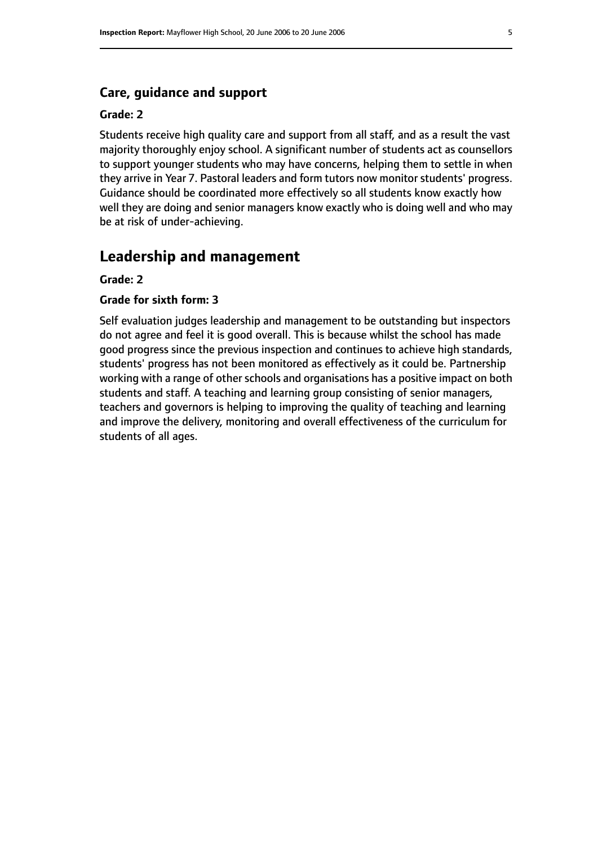#### **Care, guidance and support**

#### **Grade: 2**

Students receive high quality care and support from all staff, and as a result the vast majority thoroughly enjoy school. A significant number of students act as counsellors to support younger students who may have concerns, helping them to settle in when they arrive in Year 7. Pastoral leaders and form tutors now monitor students' progress. Guidance should be coordinated more effectively so all students know exactly how well they are doing and senior managers know exactly who is doing well and who may be at risk of under-achieving.

### **Leadership and management**

#### **Grade: 2**

#### **Grade for sixth form: 3**

Self evaluation judges leadership and management to be outstanding but inspectors do not agree and feel it is good overall. This is because whilst the school has made good progress since the previous inspection and continues to achieve high standards, students' progress has not been monitored as effectively as it could be. Partnership working with a range of other schools and organisations has a positive impact on both students and staff. A teaching and learning group consisting of senior managers, teachers and governors is helping to improving the quality of teaching and learning and improve the delivery, monitoring and overall effectiveness of the curriculum for students of all ages.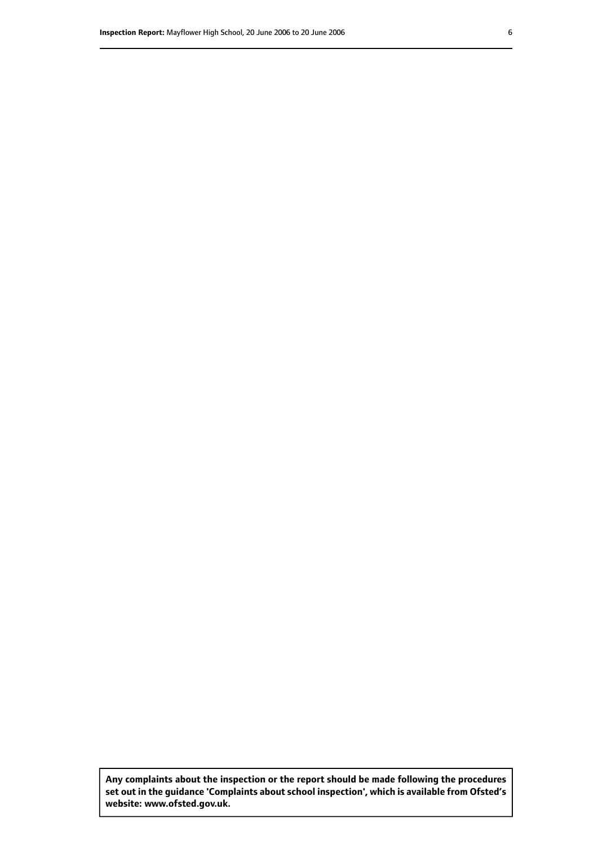**Any complaints about the inspection or the report should be made following the procedures set out inthe guidance 'Complaints about school inspection', whichis available from Ofsted's website: www.ofsted.gov.uk.**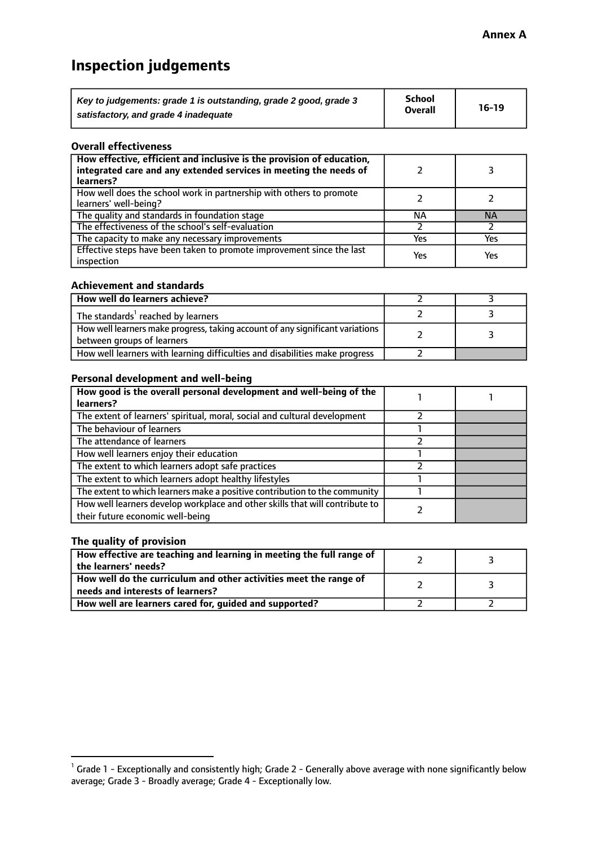# **Inspection judgements**

| Key to judgements: grade 1 is outstanding, grade 2 good, grade 3 | <b>School</b>  | $16-19$ |
|------------------------------------------------------------------|----------------|---------|
| satisfactory, and grade 4 inadequate                             | <b>Overall</b> |         |

#### **Overall effectiveness**

| How effective, efficient and inclusive is the provision of education,<br>integrated care and any extended services in meeting the needs of<br>learners? |     |           |
|---------------------------------------------------------------------------------------------------------------------------------------------------------|-----|-----------|
| How well does the school work in partnership with others to promote<br>learners' well-being?                                                            |     |           |
| The quality and standards in foundation stage                                                                                                           | ΝA  | <b>NA</b> |
| The effectiveness of the school's self-evaluation                                                                                                       |     |           |
| The capacity to make any necessary improvements                                                                                                         | Yes | Yes       |
| Effective steps have been taken to promote improvement since the last<br>inspection                                                                     | Yes | Yes       |

#### **Achievement and standards**

| How well do learners achieve?                                                                                 |  |
|---------------------------------------------------------------------------------------------------------------|--|
| The standards <sup>1</sup> reached by learners                                                                |  |
| How well learners make progress, taking account of any significant variations  <br>between groups of learners |  |
| How well learners with learning difficulties and disabilities make progress                                   |  |

#### **Personal development and well-being**

| How good is the overall personal development and well-being of the<br>learners?                                  |  |
|------------------------------------------------------------------------------------------------------------------|--|
|                                                                                                                  |  |
| The extent of learners' spiritual, moral, social and cultural development                                        |  |
| The behaviour of learners                                                                                        |  |
| The attendance of learners                                                                                       |  |
| How well learners enjoy their education                                                                          |  |
| The extent to which learners adopt safe practices                                                                |  |
| The extent to which learners adopt healthy lifestyles                                                            |  |
| The extent to which learners make a positive contribution to the community                                       |  |
| How well learners develop workplace and other skills that will contribute to<br>their future economic well-being |  |

#### **The quality of provision**

| How effective are teaching and learning in meeting the full range of<br>the learners' needs?          |  |
|-------------------------------------------------------------------------------------------------------|--|
| How well do the curriculum and other activities meet the range of<br>needs and interests of learners? |  |
| How well are learners cared for, guided and supported?                                                |  |

 $^1$  Grade 1 - Exceptionally and consistently high; Grade 2 - Generally above average with none significantly below average; Grade 3 - Broadly average; Grade 4 - Exceptionally low.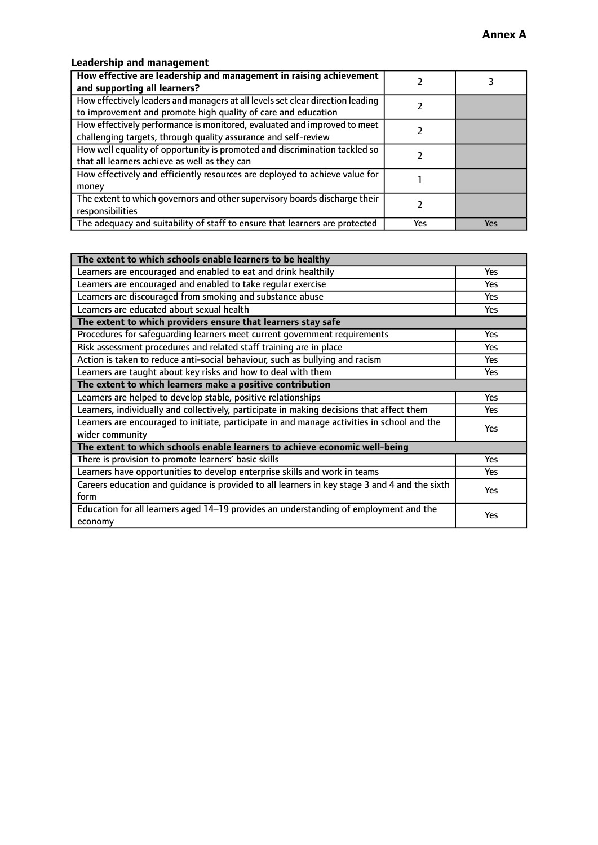## **Leadership and management**

| How effective are leadership and management in raising achievement<br>and supporting all learners?                                              |     |     |
|-------------------------------------------------------------------------------------------------------------------------------------------------|-----|-----|
| How effectively leaders and managers at all levels set clear direction leading<br>to improvement and promote high quality of care and education |     |     |
| How effectively performance is monitored, evaluated and improved to meet<br>challenging targets, through quality assurance and self-review      |     |     |
| How well equality of opportunity is promoted and discrimination tackled so<br>that all learners achieve as well as they can                     |     |     |
| How effectively and efficiently resources are deployed to achieve value for<br>money                                                            |     |     |
| The extent to which governors and other supervisory boards discharge their<br>responsibilities                                                  |     |     |
| The adequacy and suitability of staff to ensure that learners are protected                                                                     | Yes | Yes |

| The extent to which schools enable learners to be healthy                                     |            |
|-----------------------------------------------------------------------------------------------|------------|
| Learners are encouraged and enabled to eat and drink healthily                                | Yes        |
| Learners are encouraged and enabled to take regular exercise                                  | <b>Yes</b> |
| Learners are discouraged from smoking and substance abuse                                     | Yes        |
| Learners are educated about sexual health                                                     | Yes        |
| The extent to which providers ensure that learners stay safe                                  |            |
| Procedures for safeguarding learners meet current government requirements                     | Yes        |
| Risk assessment procedures and related staff training are in place                            | <b>Yes</b> |
| Action is taken to reduce anti-social behaviour, such as bullying and racism                  | Yes        |
| Learners are taught about key risks and how to deal with them                                 | Yes        |
| The extent to which learners make a positive contribution                                     |            |
| Learners are helped to develop stable, positive relationships                                 | <b>Yes</b> |
| Learners, individually and collectively, participate in making decisions that affect them     | <b>Yes</b> |
| Learners are encouraged to initiate, participate in and manage activities in school and the   | <b>Yes</b> |
| wider community                                                                               |            |
| The extent to which schools enable learners to achieve economic well-being                    |            |
| There is provision to promote learners' basic skills                                          | Yes        |
| Learners have opportunities to develop enterprise skills and work in teams                    | Yes        |
| Careers education and quidance is provided to all learners in key stage 3 and 4 and the sixth | Yes        |
| form                                                                                          |            |
| Education for all learners aged 14-19 provides an understanding of employment and the         | Yes        |
| economy                                                                                       |            |